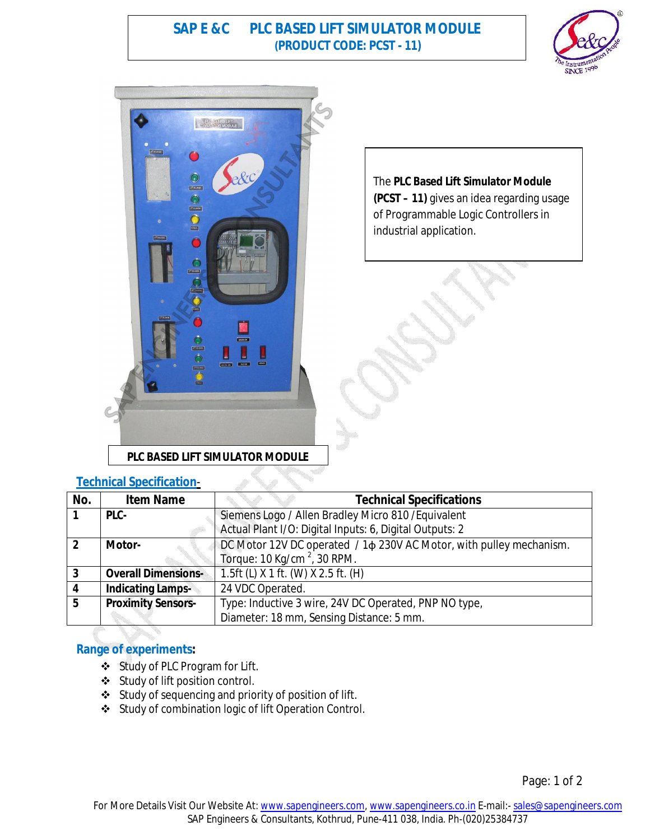**SAP E &C PLC BASED LIFT SIMULATOR MODULE (PRODUCT CODE: PCST - 11)**





The **PLC Based Lift Simulator Module (PCST – 11)** gives an idea regarding usage of Programmable Logic Controllers in industrial application.

### **Technical Specification**-

| No.            | <b>Item Name</b>           | <b>Technical Specifications</b>                                           |
|----------------|----------------------------|---------------------------------------------------------------------------|
|                | PLC-                       | Siemens Logo / Allen Bradley Micro 810 / Equivalent                       |
|                |                            | Actual Plant I/O: Digital Inputs: 6, Digital Outputs: 2                   |
| $\overline{2}$ | Motor-                     | DC Motor 12V DC operated / 1 $\phi$ 230V AC Motor, with pulley mechanism. |
|                |                            | Torque: $10$ Kg/cm <sup>2</sup> , 30 RPM.                                 |
| 3              | <b>Overall Dimensions-</b> | $1.5$ ft (L) X 1 ft. (W) X 2.5 ft. (H)                                    |
|                | <b>Indicating Lamps-</b>   | 24 VDC Operated.                                                          |
| 5              | <b>Proximity Sensors-</b>  | Type: Inductive 3 wire, 24V DC Operated, PNP NO type,                     |
|                |                            | Diameter: 18 mm, Sensing Distance: 5 mm.                                  |

# **Range of experiments:**

- Study of PLC Program for Lift.
- Study of lift position control.
- Study of sequencing and priority of position of lift.
- Study of combination logic of lift Operation Control.

Page: 1 of 2